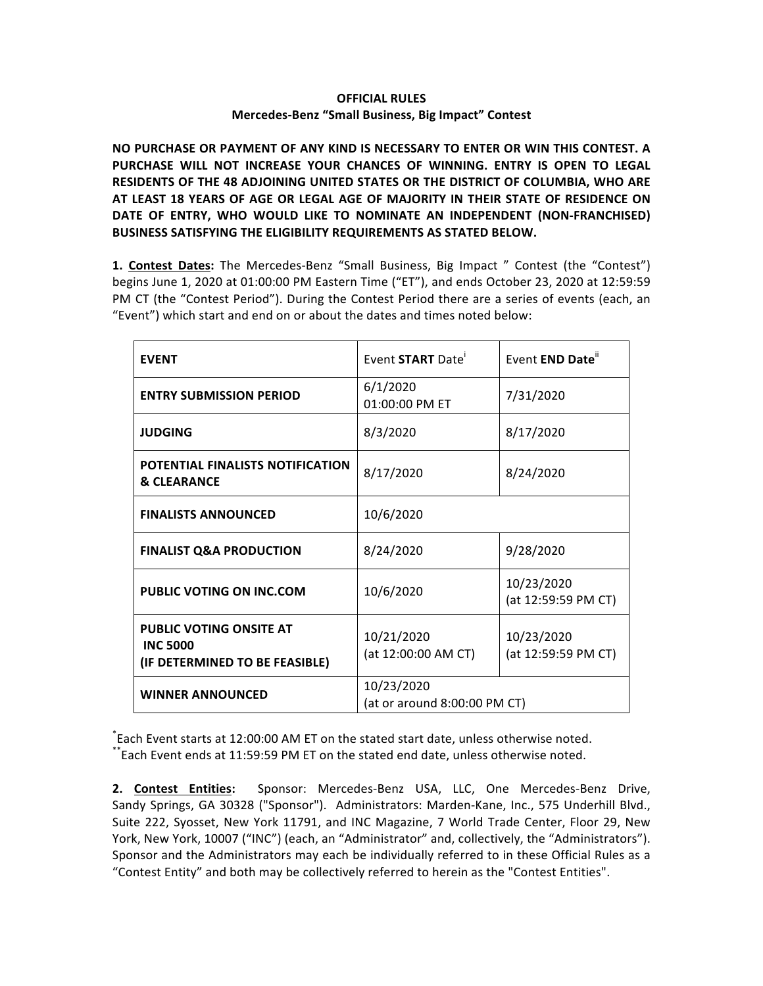## **OFFICIAL RULES Mercedes-Benz "Small Business, Big Impact" Contest**

NO PURCHASE OR PAYMENT OF ANY KIND IS NECESSARY TO ENTER OR WIN THIS CONTEST. A PURCHASE WILL NOT INCREASE YOUR CHANCES OF WINNING. ENTRY IS OPEN TO LEGAL **RESIDENTS OF THE 48 ADJOINING UNITED STATES OR THE DISTRICT OF COLUMBIA, WHO ARE** AT LEAST 18 YEARS OF AGE OR LEGAL AGE OF MAJORITY IN THEIR STATE OF RESIDENCE ON DATE OF ENTRY, WHO WOULD LIKE TO NOMINATE AN INDEPENDENT (NON-FRANCHISED) **BUSINESS SATISFYING THE ELIGIBILITY REQUIREMENTS AS STATED BELOW.**

**1. Contest Dates:** The Mercedes-Benz "Small Business, Big Impact " Contest (the "Contest") begins June 1, 2020 at 01:00:00 PM Eastern Time ("ET"), and ends October 23, 2020 at 12:59:59 PM CT (the "Contest Period"). During the Contest Period there are a series of events (each, an "Event") which start and end on or about the dates and times noted below:

| <b>EVENT</b>                                                                        | Event START Date                           | Event END Date"                   |
|-------------------------------------------------------------------------------------|--------------------------------------------|-----------------------------------|
| <b>ENTRY SUBMISSION PERIOD</b>                                                      | 6/1/2020<br>01:00:00 PM ET                 | 7/31/2020                         |
| <b>JUDGING</b>                                                                      | 8/3/2020                                   | 8/17/2020                         |
| POTENTIAL FINALISTS NOTIFICATION<br><b>&amp; CLEARANCE</b>                          | 8/17/2020                                  | 8/24/2020                         |
| <b>FINALISTS ANNOUNCED</b>                                                          | 10/6/2020                                  |                                   |
| <b>FINALIST Q&amp;A PRODUCTION</b>                                                  | 8/24/2020                                  | 9/28/2020                         |
| <b>PUBLIC VOTING ON INC.COM</b>                                                     | 10/6/2020                                  | 10/23/2020<br>(at 12:59:59 PM CT) |
| <b>PUBLIC VOTING ONSITE AT</b><br><b>INC 5000</b><br>(IF DETERMINED TO BE FEASIBLE) | 10/21/2020<br>(at 12:00:00 AM CT)          | 10/23/2020<br>(at 12:59:59 PM CT) |
| <b>WINNER ANNOUNCED</b>                                                             | 10/23/2020<br>(at or around 8:00:00 PM CT) |                                   |

\*Each Event starts at 12:00:00 AM ET on the stated start date, unless otherwise noted. \*\*Each Event ends at 11:59:59 PM ET on the stated end date, unless otherwise noted.

2. Contest Entities: Sponsor: Mercedes-Benz USA, LLC, One Mercedes-Benz Drive, Sandy Springs, GA 30328 ("Sponsor"). Administrators: Marden-Kane, Inc., 575 Underhill Blvd., Suite 222, Syosset, New York 11791, and INC Magazine, 7 World Trade Center, Floor 29, New York, New York, 10007 ("INC") (each, an "Administrator" and, collectively, the "Administrators"). Sponsor and the Administrators may each be individually referred to in these Official Rules as a "Contest Entity" and both may be collectively referred to herein as the "Contest Entities".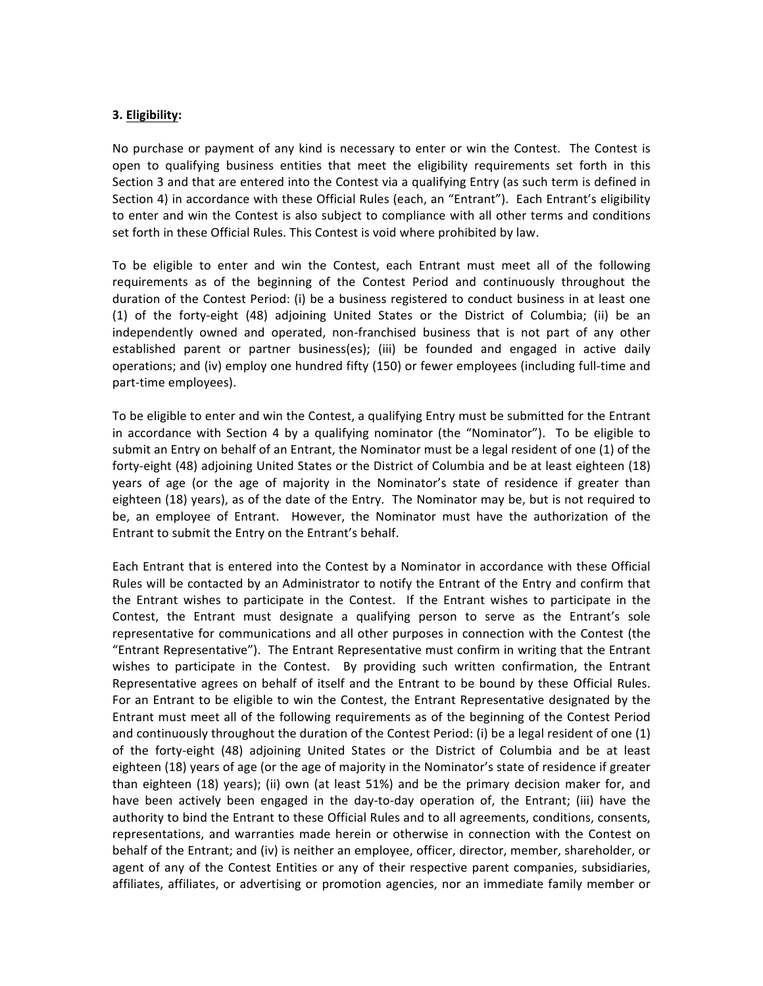## **3. Eligibility:**

No purchase or payment of any kind is necessary to enter or win the Contest. The Contest is open to qualifying business entities that meet the eligibility requirements set forth in this Section 3 and that are entered into the Contest via a qualifying Entry (as such term is defined in Section 4) in accordance with these Official Rules (each, an "Entrant"). Each Entrant's eligibility to enter and win the Contest is also subject to compliance with all other terms and conditions set forth in these Official Rules. This Contest is void where prohibited by law.

To be eligible to enter and win the Contest, each Entrant must meet all of the following requirements as of the beginning of the Contest Period and continuously throughout the duration of the Contest Period: (i) be a business registered to conduct business in at least one (1) of the forty-eight (48) adjoining United States or the District of Columbia; (ii) be an independently owned and operated, non-franchised business that is not part of any other established parent or partner business(es); (iii) be founded and engaged in active daily operations; and (iv) employ one hundred fifty (150) or fewer employees (including full-time and part-time employees).

To be eligible to enter and win the Contest, a qualifying Entry must be submitted for the Entrant in accordance with Section 4 by a qualifying nominator (the "Nominator"). To be eligible to submit an Entry on behalf of an Entrant, the Nominator must be a legal resident of one (1) of the forty-eight (48) adjoining United States or the District of Columbia and be at least eighteen (18) years of age (or the age of majority in the Nominator's state of residence if greater than eighteen (18) years), as of the date of the Entry. The Nominator may be, but is not required to be, an employee of Entrant. However, the Nominator must have the authorization of the Entrant to submit the Entry on the Entrant's behalf.

Each Entrant that is entered into the Contest by a Nominator in accordance with these Official Rules will be contacted by an Administrator to notify the Entrant of the Entry and confirm that the Entrant wishes to participate in the Contest. If the Entrant wishes to participate in the Contest, the Entrant must designate a qualifying person to serve as the Entrant's sole representative for communications and all other purposes in connection with the Contest (the "Entrant Representative"). The Entrant Representative must confirm in writing that the Entrant wishes to participate in the Contest. By providing such written confirmation, the Entrant Representative agrees on behalf of itself and the Entrant to be bound by these Official Rules. For an Entrant to be eligible to win the Contest, the Entrant Representative designated by the Entrant must meet all of the following requirements as of the beginning of the Contest Period and continuously throughout the duration of the Contest Period: (i) be a legal resident of one  $(1)$ of the forty-eight (48) adjoining United States or the District of Columbia and be at least eighteen (18) years of age (or the age of majority in the Nominator's state of residence if greater than eighteen (18) years); (ii) own (at least 51%) and be the primary decision maker for, and have been actively been engaged in the day-to-day operation of, the Entrant; (iii) have the authority to bind the Entrant to these Official Rules and to all agreements, conditions, consents, representations, and warranties made herein or otherwise in connection with the Contest on behalf of the Entrant; and (iv) is neither an employee, officer, director, member, shareholder, or agent of any of the Contest Entities or any of their respective parent companies, subsidiaries, affiliates, affiliates, or advertising or promotion agencies, nor an immediate family member or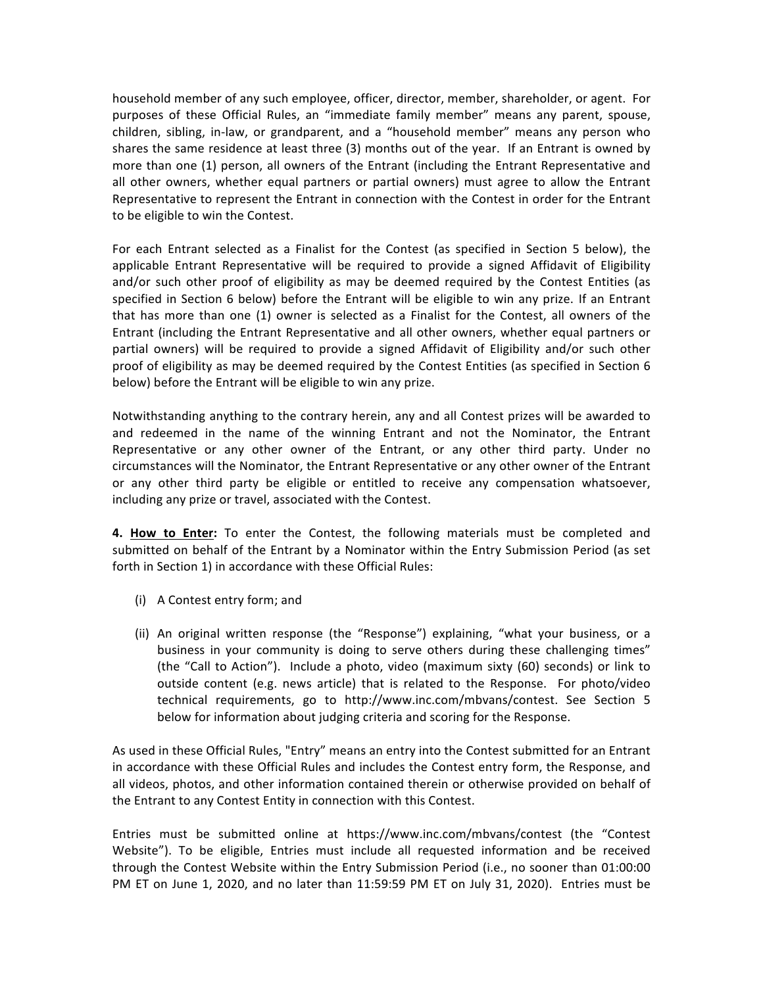household member of any such employee, officer, director, member, shareholder, or agent. For purposes of these Official Rules, an "immediate family member" means any parent, spouse, children, sibling, in-law, or grandparent, and a "household member" means any person who shares the same residence at least three (3) months out of the year. If an Entrant is owned by more than one (1) person, all owners of the Entrant (including the Entrant Representative and all other owners, whether equal partners or partial owners) must agree to allow the Entrant Representative to represent the Entrant in connection with the Contest in order for the Entrant to be eligible to win the Contest.

For each Entrant selected as a Finalist for the Contest (as specified in Section 5 below), the applicable Entrant Representative will be required to provide a signed Affidavit of Eligibility and/or such other proof of eligibility as may be deemed required by the Contest Entities (as specified in Section 6 below) before the Entrant will be eligible to win any prize. If an Entrant that has more than one (1) owner is selected as a Finalist for the Contest, all owners of the Entrant (including the Entrant Representative and all other owners, whether equal partners or partial owners) will be required to provide a signed Affidavit of Eligibility and/or such other proof of eligibility as may be deemed required by the Contest Entities (as specified in Section 6 below) before the Entrant will be eligible to win any prize.

Notwithstanding anything to the contrary herein, any and all Contest prizes will be awarded to and redeemed in the name of the winning Entrant and not the Nominator, the Entrant Representative or any other owner of the Entrant, or any other third party. Under no circumstances will the Nominator, the Entrant Representative or any other owner of the Entrant or any other third party be eligible or entitled to receive any compensation whatsoever, including any prize or travel, associated with the Contest.

**4. How to Enter:** To enter the Contest, the following materials must be completed and submitted on behalf of the Entrant by a Nominator within the Entry Submission Period (as set forth in Section 1) in accordance with these Official Rules:

- (i) A Contest entry form; and
- (ii) An original written response (the "Response") explaining, "what your business, or a business in your community is doing to serve others during these challenging times" (the "Call to Action"). Include a photo, video (maximum sixty (60) seconds) or link to outside content (e.g. news article) that is related to the Response. For photo/video technical requirements, go to http://www.inc.com/mbvans/contest. See Section 5 below for information about judging criteria and scoring for the Response.

As used in these Official Rules, "Entry" means an entry into the Contest submitted for an Entrant in accordance with these Official Rules and includes the Contest entry form, the Response, and all videos, photos, and other information contained therein or otherwise provided on behalf of the Entrant to any Contest Entity in connection with this Contest.

Entries must be submitted online at https://www.inc.com/mbvans/contest (the "Contest Website"). To be eligible, Entries must include all requested information and be received through the Contest Website within the Entry Submission Period (i.e., no sooner than 01:00:00 PM ET on June 1, 2020, and no later than 11:59:59 PM ET on July 31, 2020). Entries must be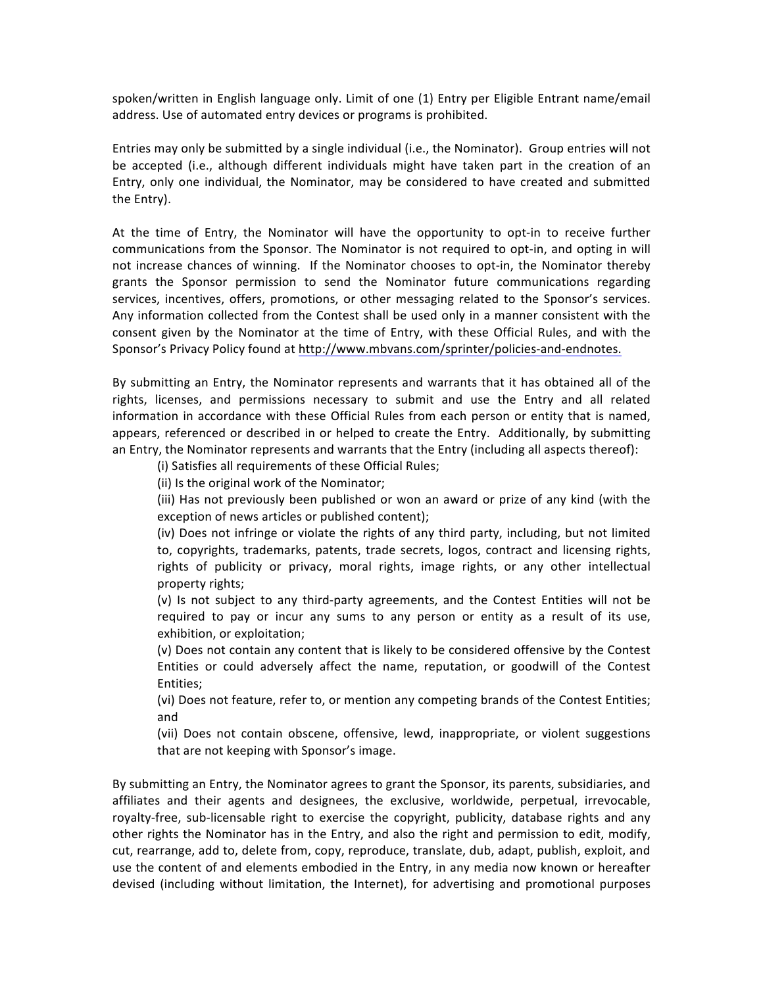spoken/written in English language only. Limit of one (1) Entry per Eligible Entrant name/email address. Use of automated entry devices or programs is prohibited.

Entries may only be submitted by a single individual (i.e., the Nominator). Group entries will not be accepted (i.e., although different individuals might have taken part in the creation of an Entry, only one individual, the Nominator, may be considered to have created and submitted the Entry).

At the time of Entry, the Nominator will have the opportunity to opt-in to receive further communications from the Sponsor. The Nominator is not required to opt-in, and opting in will not increase chances of winning. If the Nominator chooses to opt-in, the Nominator thereby grants the Sponsor permission to send the Nominator future communications regarding services, incentives, offers, promotions, or other messaging related to the Sponsor's services. Any information collected from the Contest shall be used only in a manner consistent with the consent given by the Nominator at the time of Entry, with these Official Rules, and with the Sponsor's Privacy Policy found at http://www.mbvans.com/sprinter/policies-and-endnotes.

By submitting an Entry, the Nominator represents and warrants that it has obtained all of the rights, licenses, and permissions necessary to submit and use the Entry and all related information in accordance with these Official Rules from each person or entity that is named, appears, referenced or described in or helped to create the Entry. Additionally, by submitting an Entry, the Nominator represents and warrants that the Entry (including all aspects thereof):

(i) Satisfies all requirements of these Official Rules;

(ii) Is the original work of the Nominator;

(iii) Has not previously been published or won an award or prize of any kind (with the exception of news articles or published content);

(iv) Does not infringe or violate the rights of any third party, including, but not limited to, copyrights, trademarks, patents, trade secrets, logos, contract and licensing rights, rights of publicity or privacy, moral rights, image rights, or any other intellectual property rights;

(v) Is not subject to any third-party agreements, and the Contest Entities will not be required to pay or incur any sums to any person or entity as a result of its use, exhibition, or exploitation;

(v) Does not contain any content that is likely to be considered offensive by the Contest Entities or could adversely affect the name, reputation, or goodwill of the Contest Entities;

(vi) Does not feature, refer to, or mention any competing brands of the Contest Entities; and

(vii) Does not contain obscene, offensive, lewd, inappropriate, or violent suggestions that are not keeping with Sponsor's image.

By submitting an Entry, the Nominator agrees to grant the Sponsor, its parents, subsidiaries, and affiliates and their agents and designees, the exclusive, worldwide, perpetual, irrevocable, royalty-free, sub-licensable right to exercise the copyright, publicity, database rights and any other rights the Nominator has in the Entry, and also the right and permission to edit, modify, cut, rearrange, add to, delete from, copy, reproduce, translate, dub, adapt, publish, exploit, and use the content of and elements embodied in the Entry, in any media now known or hereafter devised (including without limitation, the Internet), for advertising and promotional purposes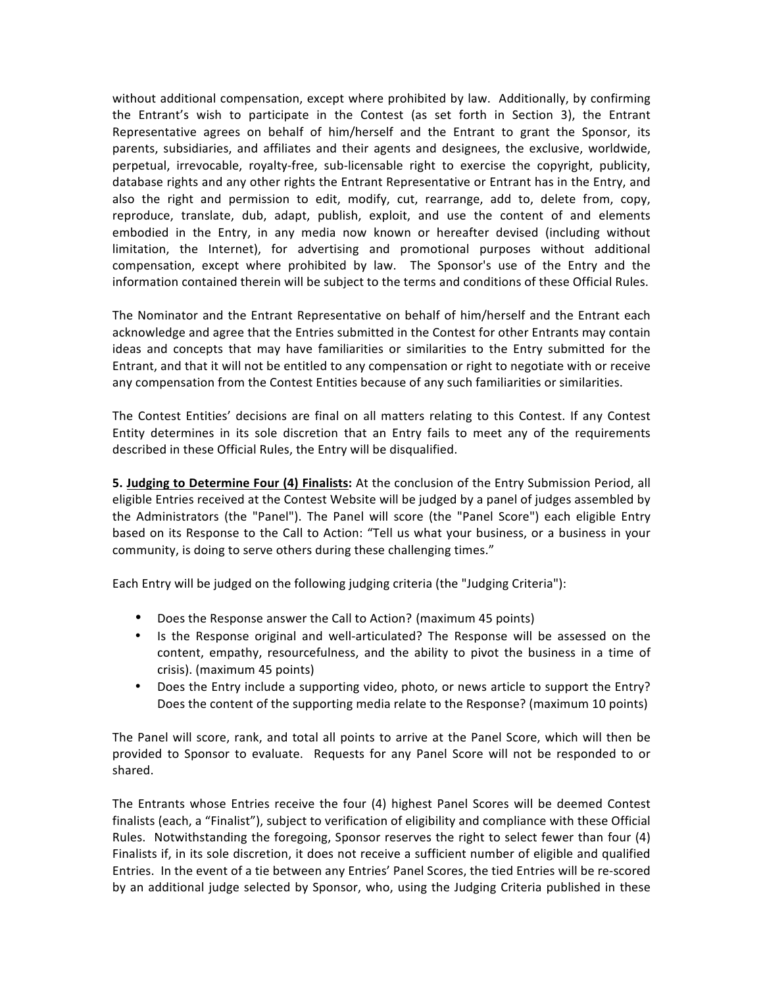without additional compensation, except where prohibited by law. Additionally, by confirming the Entrant's wish to participate in the Contest (as set forth in Section 3), the Entrant Representative agrees on behalf of him/herself and the Entrant to grant the Sponsor, its parents, subsidiaries, and affiliates and their agents and designees, the exclusive, worldwide, perpetual, irrevocable, royalty-free, sub-licensable right to exercise the copyright, publicity, database rights and any other rights the Entrant Representative or Entrant has in the Entry, and also the right and permission to edit, modify, cut, rearrange, add to, delete from, copy, reproduce, translate, dub, adapt, publish, exploit, and use the content of and elements embodied in the Entry, in any media now known or hereafter devised (including without limitation, the Internet), for advertising and promotional purposes without additional compensation, except where prohibited by law. The Sponsor's use of the Entry and the information contained therein will be subject to the terms and conditions of these Official Rules.

The Nominator and the Entrant Representative on behalf of him/herself and the Entrant each acknowledge and agree that the Entries submitted in the Contest for other Entrants may contain ideas and concepts that may have familiarities or similarities to the Entry submitted for the Entrant, and that it will not be entitled to any compensation or right to negotiate with or receive any compensation from the Contest Entities because of any such familiarities or similarities.

The Contest Entities' decisions are final on all matters relating to this Contest. If any Contest Entity determines in its sole discretion that an Entry fails to meet any of the requirements described in these Official Rules, the Entry will be disqualified.

**5. Judging to Determine Four (4) Finalists:** At the conclusion of the Entry Submission Period, all eligible Entries received at the Contest Website will be judged by a panel of judges assembled by the Administrators (the "Panel"). The Panel will score (the "Panel Score") each eligible Entry based on its Response to the Call to Action: "Tell us what your business, or a business in your community, is doing to serve others during these challenging times."

Each Entry will be judged on the following judging criteria (the "Judging Criteria"):

- Does the Response answer the Call to Action? (maximum 45 points)
- Is the Response original and well-articulated? The Response will be assessed on the content, empathy, resourcefulness, and the ability to pivot the business in a time of crisis). (maximum 45 points)
- Does the Entry include a supporting video, photo, or news article to support the Entry? Does the content of the supporting media relate to the Response? (maximum 10 points)

The Panel will score, rank, and total all points to arrive at the Panel Score, which will then be provided to Sponsor to evaluate. Requests for any Panel Score will not be responded to or shared.

The Entrants whose Entries receive the four (4) highest Panel Scores will be deemed Contest finalists (each, a "Finalist"), subject to verification of eligibility and compliance with these Official Rules. Notwithstanding the foregoing, Sponsor reserves the right to select fewer than four  $(4)$ Finalists if, in its sole discretion, it does not receive a sufficient number of eligible and qualified Entries. In the event of a tie between any Entries' Panel Scores, the tied Entries will be re-scored by an additional judge selected by Sponsor, who, using the Judging Criteria published in these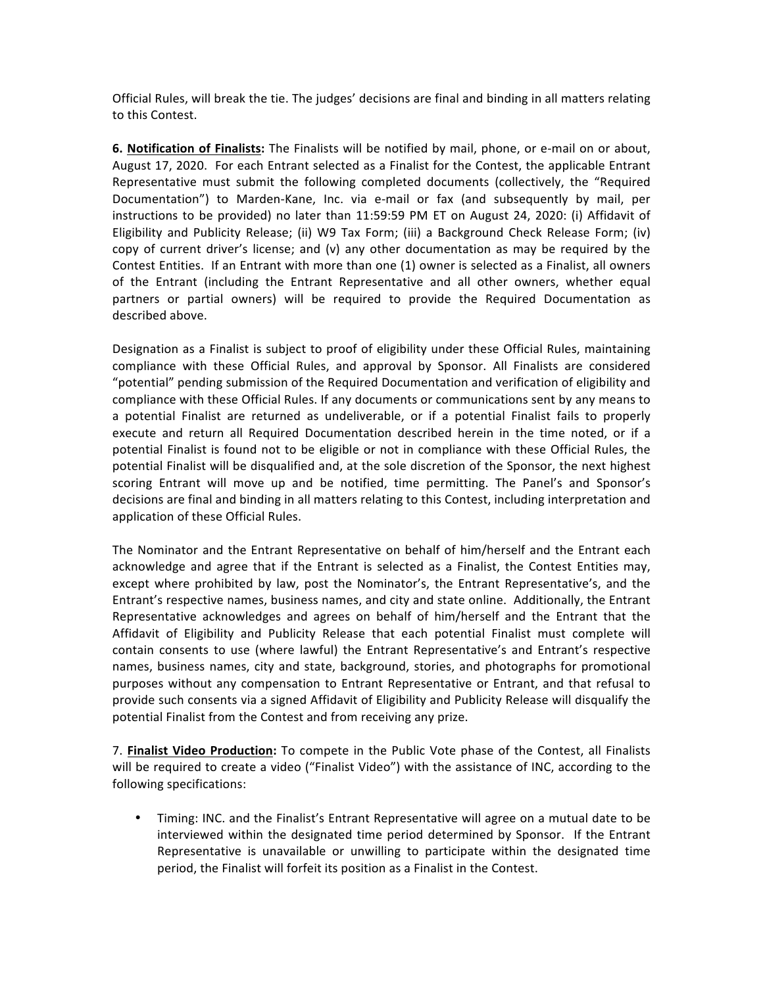Official Rules, will break the tie. The judges' decisions are final and binding in all matters relating to this Contest.

**6. Notification of Finalists:** The Finalists will be notified by mail, phone, or e-mail on or about, August 17, 2020. For each Entrant selected as a Finalist for the Contest, the applicable Entrant Representative must submit the following completed documents (collectively, the "Required Documentation") to Marden-Kane, Inc. via e-mail or fax (and subsequently by mail, per instructions to be provided) no later than 11:59:59 PM ET on August 24, 2020: (i) Affidavit of Eligibility and Publicity Release; (ii) W9 Tax Form; (iii) a Background Check Release Form; (iv) copy of current driver's license; and (v) any other documentation as may be required by the Contest Entities. If an Entrant with more than one (1) owner is selected as a Finalist, all owners of the Entrant (including the Entrant Representative and all other owners, whether equal partners or partial owners) will be required to provide the Required Documentation as described above.

Designation as a Finalist is subject to proof of eligibility under these Official Rules, maintaining compliance with these Official Rules, and approval by Sponsor. All Finalists are considered "potential" pending submission of the Required Documentation and verification of eligibility and compliance with these Official Rules. If any documents or communications sent by any means to a potential Finalist are returned as undeliverable, or if a potential Finalist fails to properly execute and return all Required Documentation described herein in the time noted, or if a potential Finalist is found not to be eligible or not in compliance with these Official Rules, the potential Finalist will be disqualified and, at the sole discretion of the Sponsor, the next highest scoring Entrant will move up and be notified, time permitting. The Panel's and Sponsor's decisions are final and binding in all matters relating to this Contest, including interpretation and application of these Official Rules.

The Nominator and the Entrant Representative on behalf of him/herself and the Entrant each acknowledge and agree that if the Entrant is selected as a Finalist, the Contest Entities may, except where prohibited by law, post the Nominator's, the Entrant Representative's, and the Entrant's respective names, business names, and city and state online. Additionally, the Entrant Representative acknowledges and agrees on behalf of him/herself and the Entrant that the Affidavit of Eligibility and Publicity Release that each potential Finalist must complete will contain consents to use (where lawful) the Entrant Representative's and Entrant's respective names, business names, city and state, background, stories, and photographs for promotional purposes without any compensation to Entrant Representative or Entrant, and that refusal to provide such consents via a signed Affidavit of Eligibility and Publicity Release will disqualify the potential Finalist from the Contest and from receiving any prize.

7. Finalist Video Production: To compete in the Public Vote phase of the Contest, all Finalists will be required to create a video ("Finalist Video") with the assistance of INC, according to the following specifications:

• Timing: INC. and the Finalist's Entrant Representative will agree on a mutual date to be interviewed within the designated time period determined by Sponsor. If the Entrant Representative is unavailable or unwilling to participate within the designated time period, the Finalist will forfeit its position as a Finalist in the Contest.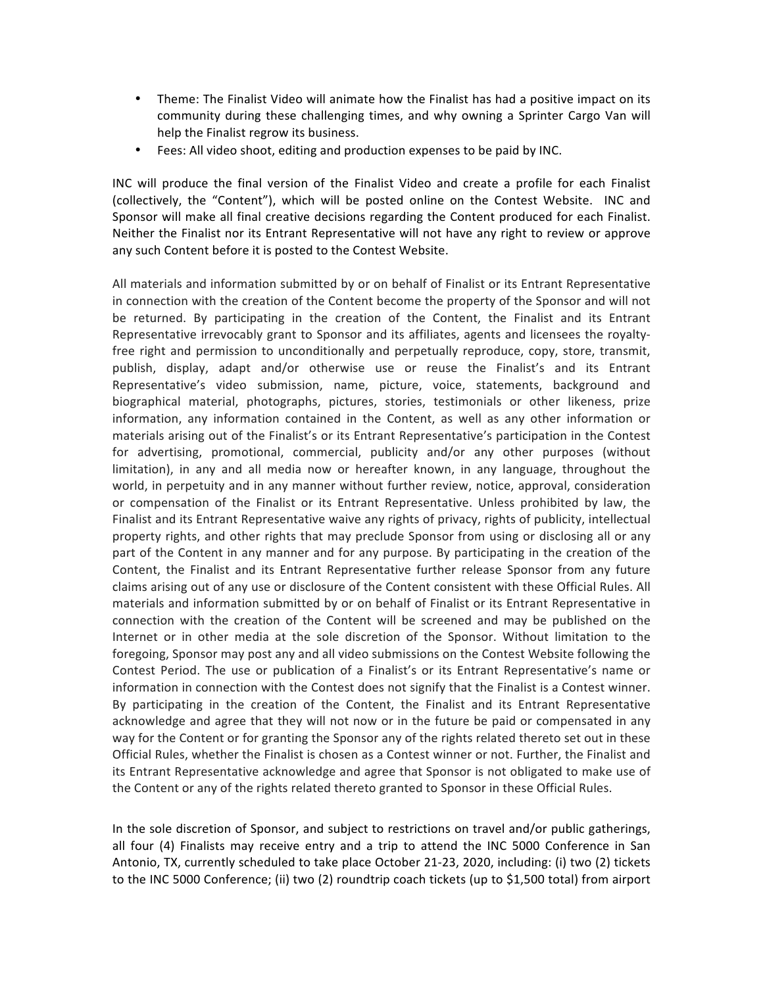- Theme: The Finalist Video will animate how the Finalist has had a positive impact on its community during these challenging times, and why owning a Sprinter Cargo Van will help the Finalist regrow its business.
- Fees: All video shoot, editing and production expenses to be paid by INC.

INC will produce the final version of the Finalist Video and create a profile for each Finalist (collectively, the "Content"), which will be posted online on the Contest Website. INC and Sponsor will make all final creative decisions regarding the Content produced for each Finalist. Neither the Finalist nor its Entrant Representative will not have any right to review or approve any such Content before it is posted to the Contest Website.

All materials and information submitted by or on behalf of Finalist or its Entrant Representative in connection with the creation of the Content become the property of the Sponsor and will not be returned. By participating in the creation of the Content, the Finalist and its Entrant Representative irrevocably grant to Sponsor and its affiliates, agents and licensees the royaltyfree right and permission to unconditionally and perpetually reproduce, copy, store, transmit, publish, display, adapt and/or otherwise use or reuse the Finalist's and its Entrant Representative's video submission, name, picture, voice, statements, background and biographical material, photographs, pictures, stories, testimonials or other likeness, prize information, any information contained in the Content, as well as any other information or materials arising out of the Finalist's or its Entrant Representative's participation in the Contest for advertising, promotional, commercial, publicity and/or any other purposes (without limitation), in any and all media now or hereafter known, in any language, throughout the world, in perpetuity and in any manner without further review, notice, approval, consideration or compensation of the Finalist or its Entrant Representative. Unless prohibited by law, the Finalist and its Entrant Representative waive any rights of privacy, rights of publicity, intellectual property rights, and other rights that may preclude Sponsor from using or disclosing all or any part of the Content in any manner and for any purpose. By participating in the creation of the Content, the Finalist and its Entrant Representative further release Sponsor from any future claims arising out of any use or disclosure of the Content consistent with these Official Rules. All materials and information submitted by or on behalf of Finalist or its Entrant Representative in connection with the creation of the Content will be screened and may be published on the Internet or in other media at the sole discretion of the Sponsor. Without limitation to the foregoing, Sponsor may post any and all video submissions on the Contest Website following the Contest Period. The use or publication of a Finalist's or its Entrant Representative's name or information in connection with the Contest does not signify that the Finalist is a Contest winner. By participating in the creation of the Content, the Finalist and its Entrant Representative acknowledge and agree that they will not now or in the future be paid or compensated in any way for the Content or for granting the Sponsor any of the rights related thereto set out in these Official Rules, whether the Finalist is chosen as a Contest winner or not. Further, the Finalist and its Entrant Representative acknowledge and agree that Sponsor is not obligated to make use of the Content or any of the rights related thereto granted to Sponsor in these Official Rules.

In the sole discretion of Sponsor, and subject to restrictions on travel and/or public gatherings, all four (4) Finalists may receive entry and a trip to attend the INC 5000 Conference in San Antonio, TX, currently scheduled to take place October 21-23, 2020, including: (i) two (2) tickets to the INC 5000 Conference; (ii) two (2) roundtrip coach tickets (up to \$1,500 total) from airport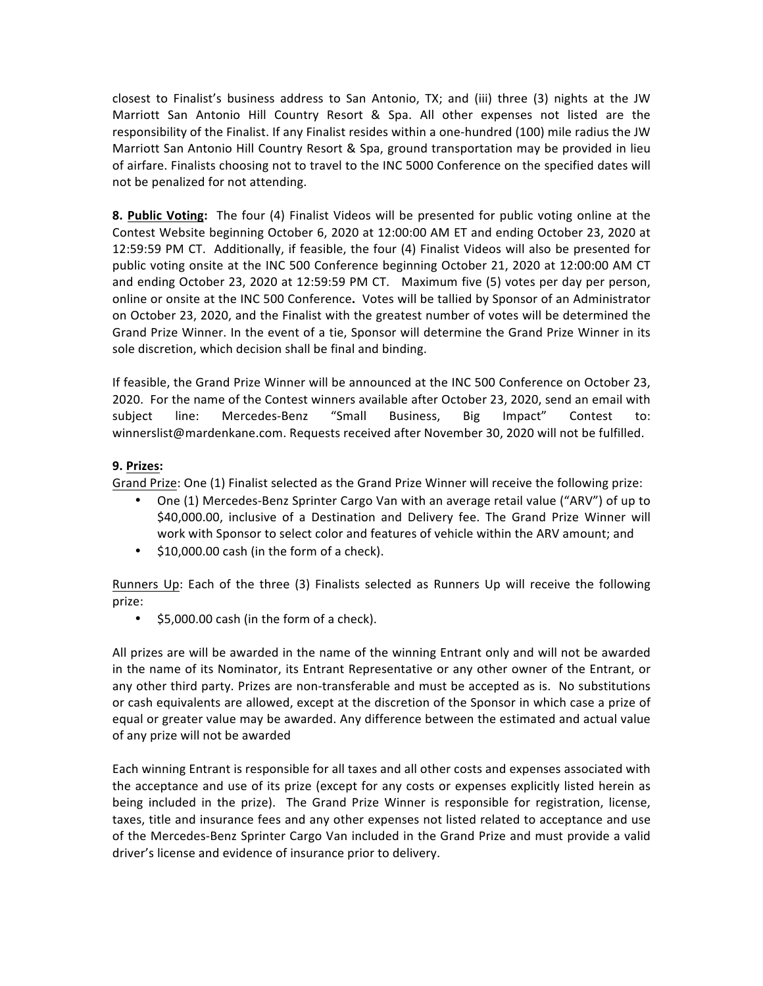closest to Finalist's business address to San Antonio, TX; and (iii) three (3) nights at the JW Marriott San Antonio Hill Country Resort & Spa. All other expenses not listed are the responsibility of the Finalist. If any Finalist resides within a one-hundred (100) mile radius the JW Marriott San Antonio Hill Country Resort & Spa, ground transportation may be provided in lieu of airfare. Finalists choosing not to travel to the INC 5000 Conference on the specified dates will not be penalized for not attending.

**8. Public Voting:** The four (4) Finalist Videos will be presented for public voting online at the Contest Website beginning October 6, 2020 at 12:00:00 AM ET and ending October 23, 2020 at 12:59:59 PM CT. Additionally, if feasible, the four (4) Finalist Videos will also be presented for public voting onsite at the INC 500 Conference beginning October 21, 2020 at 12:00:00 AM CT and ending October 23, 2020 at 12:59:59 PM CT. Maximum five (5) votes per day per person, online or onsite at the INC 500 Conference. Votes will be tallied by Sponsor of an Administrator on October 23, 2020, and the Finalist with the greatest number of votes will be determined the Grand Prize Winner. In the event of a tie, Sponsor will determine the Grand Prize Winner in its sole discretion, which decision shall be final and binding.

If feasible, the Grand Prize Winner will be announced at the INC 500 Conference on October 23, 2020. For the name of the Contest winners available after October 23, 2020, send an email with subject line: Mercedes-Benz "Small Business, Big Impact" Contest to: winnerslist@mardenkane.com. Requests received after November 30, 2020 will not be fulfilled.

## **9. Prizes:**

Grand Prize: One (1) Finalist selected as the Grand Prize Winner will receive the following prize:

- One (1) Mercedes-Benz Sprinter Cargo Van with an average retail value ("ARV") of up to \$40,000.00, inclusive of a Destination and Delivery fee. The Grand Prize Winner will work with Sponsor to select color and features of vehicle within the ARV amount; and
- $$10,000.00$  cash (in the form of a check).

Runners Up: Each of the three (3) Finalists selected as Runners Up will receive the following prize:

 $\bullet$  \$5,000.00 cash (in the form of a check).

All prizes are will be awarded in the name of the winning Entrant only and will not be awarded in the name of its Nominator, its Entrant Representative or any other owner of the Entrant, or any other third party. Prizes are non-transferable and must be accepted as is. No substitutions or cash equivalents are allowed, except at the discretion of the Sponsor in which case a prize of equal or greater value may be awarded. Any difference between the estimated and actual value of any prize will not be awarded

Each winning Entrant is responsible for all taxes and all other costs and expenses associated with the acceptance and use of its prize (except for any costs or expenses explicitly listed herein as being included in the prize). The Grand Prize Winner is responsible for registration, license, taxes, title and insurance fees and any other expenses not listed related to acceptance and use of the Mercedes-Benz Sprinter Cargo Van included in the Grand Prize and must provide a valid driver's license and evidence of insurance prior to delivery.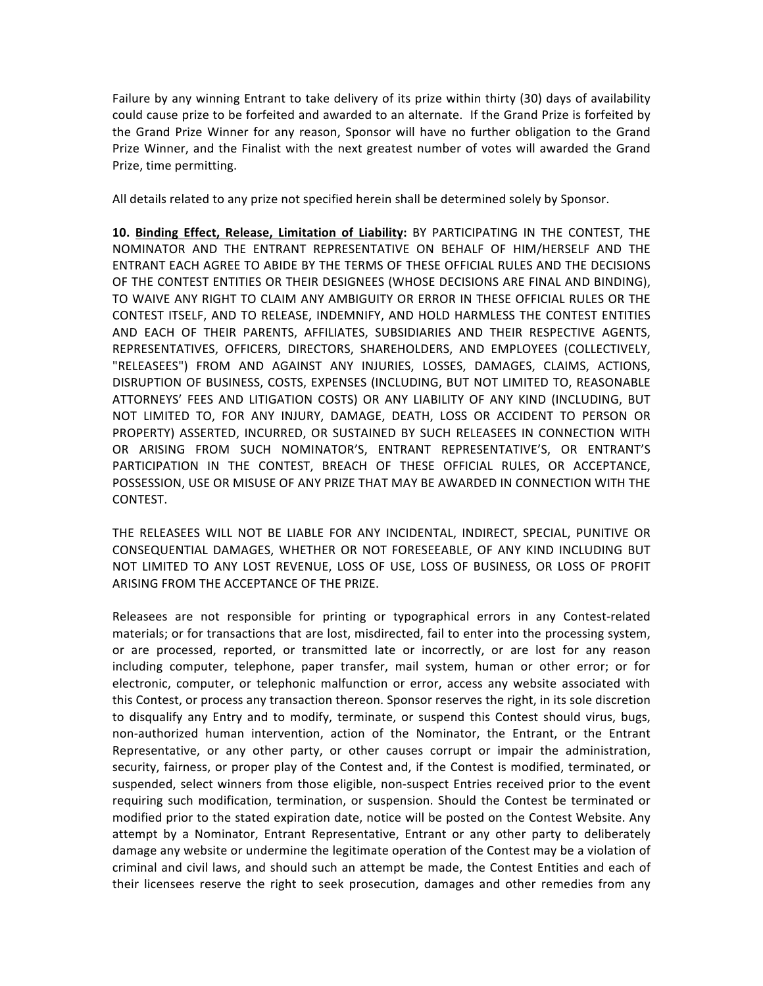Failure by any winning Entrant to take delivery of its prize within thirty (30) days of availability could cause prize to be forfeited and awarded to an alternate. If the Grand Prize is forfeited by the Grand Prize Winner for any reason, Sponsor will have no further obligation to the Grand Prize Winner, and the Finalist with the next greatest number of votes will awarded the Grand Prize, time permitting.

All details related to any prize not specified herein shall be determined solely by Sponsor.

10. Binding Effect, Release, Limitation of Liability: BY PARTICIPATING IN THE CONTEST, THE NOMINATOR AND THE ENTRANT REPRESENTATIVE ON BEHALF OF HIM/HERSELF AND THE ENTRANT EACH AGREE TO ABIDE BY THE TERMS OF THESE OFFICIAL RULES AND THE DECISIONS OF THE CONTEST ENTITIES OR THEIR DESIGNEES (WHOSE DECISIONS ARE FINAL AND BINDING). TO WAIVE ANY RIGHT TO CLAIM ANY AMBIGUITY OR ERROR IN THESE OFFICIAL RULES OR THE CONTEST ITSELF, AND TO RELEASE, INDEMNIFY, AND HOLD HARMLESS THE CONTEST ENTITIES AND EACH OF THEIR PARENTS, AFFILIATES, SUBSIDIARIES AND THEIR RESPECTIVE AGENTS, REPRESENTATIVES, OFFICERS, DIRECTORS, SHAREHOLDERS, AND EMPLOYEES (COLLECTIVELY, "RELEASEES") FROM AND AGAINST ANY INJURIES, LOSSES, DAMAGES, CLAIMS, ACTIONS, DISRUPTION OF BUSINESS, COSTS, EXPENSES (INCLUDING, BUT NOT LIMITED TO, REASONABLE ATTORNEYS' FEES AND LITIGATION COSTS) OR ANY LIABILITY OF ANY KIND (INCLUDING, BUT NOT LIMITED TO, FOR ANY INJURY, DAMAGE, DEATH, LOSS OR ACCIDENT TO PERSON OR PROPERTY) ASSERTED, INCURRED, OR SUSTAINED BY SUCH RELEASEES IN CONNECTION WITH OR ARISING FROM SUCH NOMINATOR'S, ENTRANT REPRESENTATIVE'S, OR ENTRANT'S PARTICIPATION IN THE CONTEST, BREACH OF THESE OFFICIAL RULES, OR ACCEPTANCE, POSSESSION, USE OR MISUSE OF ANY PRIZE THAT MAY BE AWARDED IN CONNECTION WITH THE CONTEST.

THE RELEASEES WILL NOT BE LIABLE FOR ANY INCIDENTAL, INDIRECT, SPECIAL, PUNITIVE OR CONSEQUENTIAL DAMAGES, WHETHER OR NOT FORESEEABLE, OF ANY KIND INCLUDING BUT NOT LIMITED TO ANY LOST REVENUE, LOSS OF USE, LOSS OF BUSINESS, OR LOSS OF PROFIT ARISING FROM THE ACCEPTANCE OF THE PRIZE.

Releasees are not responsible for printing or typographical errors in any Contest-related materials; or for transactions that are lost, misdirected, fail to enter into the processing system, or are processed, reported, or transmitted late or incorrectly, or are lost for any reason including computer, telephone, paper transfer, mail system, human or other error; or for electronic, computer, or telephonic malfunction or error, access any website associated with this Contest, or process any transaction thereon. Sponsor reserves the right, in its sole discretion to disqualify any Entry and to modify, terminate, or suspend this Contest should virus, bugs, non-authorized human intervention, action of the Nominator, the Entrant, or the Entrant Representative, or any other party, or other causes corrupt or impair the administration, security, fairness, or proper play of the Contest and, if the Contest is modified, terminated, or suspended, select winners from those eligible, non-suspect Entries received prior to the event requiring such modification, termination, or suspension. Should the Contest be terminated or modified prior to the stated expiration date, notice will be posted on the Contest Website. Any attempt by a Nominator, Entrant Representative, Entrant or any other party to deliberately damage any website or undermine the legitimate operation of the Contest may be a violation of criminal and civil laws, and should such an attempt be made, the Contest Entities and each of their licensees reserve the right to seek prosecution, damages and other remedies from any